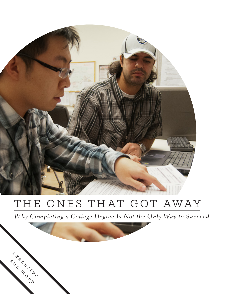

# THE ONES THAT GOT AWAY

e<br>*E k b*<sub>*i*</sub> *k*<sub>*i*</sub>

summary

 *e* 

*Why Completing a College Degree Is Not the Only Way to Succeed*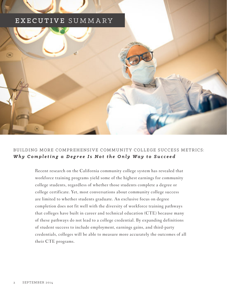### EXECUTIVE SUMMARY



#### BUILDING MORE COMPREHENSIVE COMMUNITY COLLEGE SUCCESS METRICS: *Why Completing a Degree Is Not the Only Way to Succeed*

Recent research on the California community college system has revealed that workforce training programs yield some of the highest earnings for community college students, regardless of whether those students complete a degree or college certificate. Yet, most conversations about community college success are limited to whether students graduate. An exclusive focus on degree completion does not fit well with the diversity of workforce training pathways that colleges have built in career and technical education (CTE) because many of these pathways do not lead to a college credential. By expanding definitions of student success to include employment, earnings gains, and third-party credentials, colleges will be able to measure more accurately the outcomes of all their CTE programs.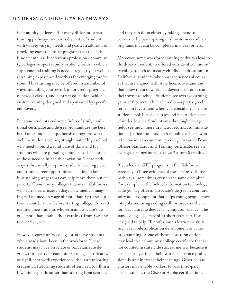Community colleges offer many different career training pathways to serve a diversity of students with widely varying needs and goals. In addition to providing comprehensive programs that teach the fundamental skills of various professions, community colleges support rapidly evolving fields in which supplemental training is needed regularly, as well as retraining experienced workers for emerging professions. This training may be offered in a number of ways, including coursework in for-credit programs, noncredit classes, and contract education, which is custom training designed and sponsored by specific employers.

For some students and some fields of study, traditional certificate and degree programs are the best bet. For example, comprehensive programs work well for students coming straight out of high school who need to build a solid base of skills and for students who are pursuing complex skill sets, such as those needed in health or aviation. These pathways substantially improve students' earning power and future career opportunities, leading to family-sustaining wages that can help move them out of poverty. Community college students in California who earn a certificate in diagnostic medical imaging make a median wage of more than \$73,000, up from about \$13,000 before starting college. Aircraft maintenance students who earn an associate's degree more than double their earnings, from \$20,000 to over \$44,000.

However, community colleges also serve students who already have been in the workforce. These students may have associate or baccalaureate degrees, third-party or community college certificates, or significant work experience without a supporting credential. Returning students often need to fill-in a few missing skills rather than starting from scratch,

and they can do so either by taking a handful of courses or by participating in short-term certificate programs that can be completed in a year or less.

Moreover, some workforce training pathways lead to third-party credentials offered outside of community colleges, such as in early childhood education. In California, students take short sequences of courses that are aligned with state licensure exams and that allow them to work in a daycare center or start their own pre-school. Students see average earnings gains of 6 percent after 18 credits—a pretty good return on investment when you consider that these students took just six courses and had tuition costs of under \$1,000. Students in other, higher-wage fields see much more dramatic returns. Administration of Justice students, such as police officers who take courses at a community college to earn a Peace Officer Standards and Training certificate, see an average earnings increase of 20% after 18 credits.

If you look at CTE programs in the California system, you'll see evidence of these many different pathways—sometimes even in the same discipline. For example, in the field of information technology, colleges may offer an associate's degree in computer software development that helps young people move into jobs requiring coding skills or prepares them for baccalaureate degrees in computer science. The same college also may offer short-term certificates designed to help IT professionals learn new skills, such as mobile application development or game programming . Some of these short-term options may lead to a community college certificate that is not counted in statewide success metrics because it is too short, yet it can help workers advance professionally and increase their earnings. Other course clusters may enable workers to pass third-party exams, such as the Cisco or Adobe certifications.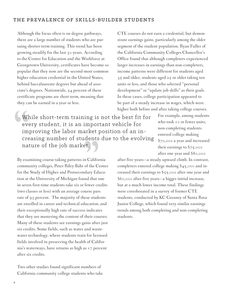#### THE PREVALENCE OF SKILLS-BUILDER STUDENTS

Although the focus often is on degree pathways, there are a large number of students who are pursuing shorter-term training. This trend has been growing steadily for the last 30 years. According to the Center for Education and the Workforce at Georgetown University, certificates have become so popular that they now are the second-most common higher education credential in the United States, behind baccalaureate degrees but ahead of associate's degrees. Nationwide, 54 percent of these certificate programs are short-term, meaning that they can be earned in a year or less.

While short-term training is not the best fit for every student, it is an important vehicle for improving the labor market position of an increasing number of students due to the evolving nature of the job market.

higher both before and after taking college courses. For example, among students who took 10 or fewer units, non-completing students entered college making \$70,000 a year and increased their earnings to \$75,000 after one year and \$80,000

By examining course-taking patterns in California community colleges, Peter Riley Bahr of the Center for the Study of Higher and Postsecondary Education at the University of Michigan found that one in seven first-time students take six or fewer credits (two classes or less) with an average course pass rate of 93 percent. The majority of these students are enrolled in career and technical education, and their exceptionally high rate of success indicates that they are mastering the content of their courses. Many of these students see earnings gains after just six credits. Some fields, such as water and wastewater technology, where students train for licensed fields involved in preserving the health of California's waterways, have returns as high as 17 percent after six credits.

Two other studies found significant numbers of California community college students who take

after five years—a steady upward climb. In contrast, completers entered college making \$45,000 and increased their earnings to \$55,000 after one year and \$60,000 after five years—a bigger initial increase, but at a much lower income total. These findings were corroborated in a survey of former CTE students, conducted by KC Greaney of Santa Rosa Junior College, which found very similar earnings trends among both completing and non-completing students.

CTE courses do not earn a credential, but demonstrate earnings gains, particularly among the older segment of the student population. Ryan Fuller of the California Community Colleges Chancellor's Office found that although completers experienced larger increases in earnings than non-completers, income patterns were different for students aged 35 and older, students aged 25 or older taking ten units or less, and those who selected "personal development" or "update job skills" as their goals. In these cases, college participation appeared to be part of a steady increase in wages, which were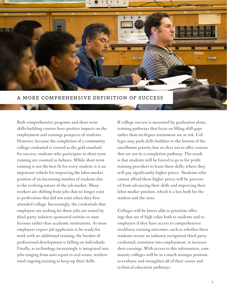

Both comprehensive programs and short-term skills-building courses have positive impacts on the employment and earnings prospects of students. However, because the completion of a community college credential is viewed as the gold standard for success, students who participate in short-term training are counted as failures. While short-term training is not the best fit for every student, it is an important vehicle for improving the labor market position of an increasing number of students due to the evolving nature of the job market. Many workers are shifting from jobs that no longer exist to professions that did not exist when they first attended college. Increasingly, the credentials that employers are seeking for these jobs are issued by third-party industry-sponsored entities or state licenses rather than academic institutions. As more employers expect job applicants to be ready for work with no additional training, the burden of professional development is falling on individuals. Finally, as technology increasingly is integrated into jobs ranging from auto repair to real estate, workers need ongoing training to keep up their skills.

If college success is measured by graduation alone, training pathways that focus on filling skill-gaps rather than on degree attainment are at risk. Colleges may push skills-builders to the bottom of the enrollment priority line or elect not to offer courses that are not in a completion pathway. The result is that students will be forced to go to for-profit training providers to learn these skills, where they will pay significantly higher prices. Students who cannot afford these higher prices will be prevented from advancing their skills and improving their labor market position, which is a loss both for the student and the state.

Colleges will be better able to prioritize offerings that are of high value both to students and to employers if they have access to comprehensive workforce training outcomes, such as whether these students secure an industry-recognized third-party credential, transition into employment, or increase their earnings. With access to this information, community colleges will be in a much stronger position to evaluate and strengthen all of their career and technical education pathways.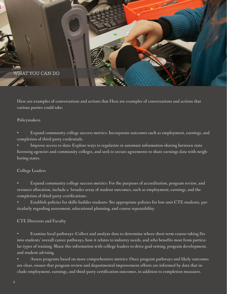

Here are examples of conversations and actions that Here are examples of conversations and actions that various parties could take:

#### Policymakers

• Expand community college success metrics: Incorporate outcomes such as employment, earnings, and completion of third-party credentials.

• Improve access to data: Explore ways to regularize or automate information-sharing between state licensing agencies and community colleges, and seek to secure agreements to share earnings data with neighboring states.

#### College Leaders

• Expand community college success metrics: For the purposes of accreditation, program review, and resource allocation, include a broader array of student outcomes, such as employment, earnings, and the completion of third-party certifications .

• Establish policies for skills-builder students: Set appropriate policies for low-unit CTE students, particularly regarding assessment, educational planning, and course repeatability.

#### CTE Directors and Faculty

• Examine local pathways: Collect and analyze data to determine where short-term course-taking fits into students' overall career pathways, how it relates to industry needs, and who benefits most from particular types of training. Share this information with college leaders to drive goal-setting, program development, and student advising.

• Assess programs based on more comprehensive metrics: Once program pathways and likely outcomes are clear, ensure that program review and departmental improvement efforts are informed by data that include employment, earnings, and third-party certification outcomes, in addition to completion measures.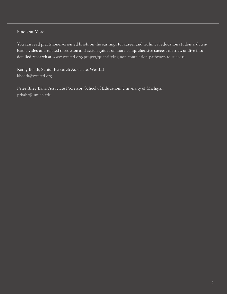#### Find Out More

You can read practitioner-oriented briefs on the earnings for career and technical education students, download a video and related discussion and action guides on more comprehensive success metrics, or dive into detailed research at www.wested.org/project/quantifying-non-completion-pathways-to-success.

Kathy Booth, Senior Research Associate, WestEd kbooth@wested.org

Peter Riley Bahr, Associate Professor, School of Education, University of Michigan prbahr@umich.edu